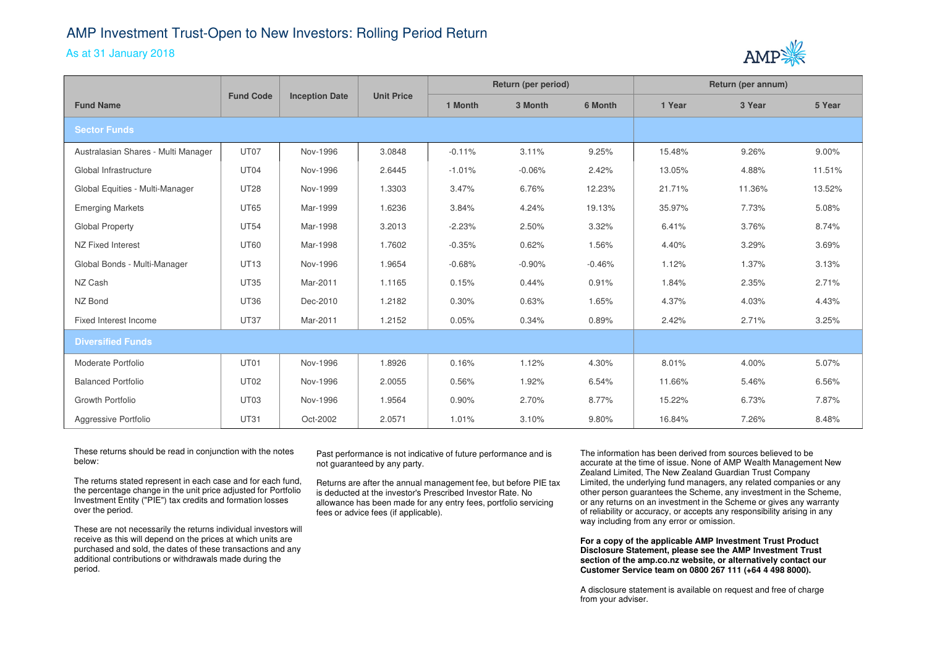## AMP Investment Trust-Open to New Investors: Rolling Period Return

## As at 31 January 2018



|                                     | <b>Fund Code</b> | <b>Inception Date</b> | <b>Unit Price</b> | Return (per period) |          |          | Return (per annum) |        |        |
|-------------------------------------|------------------|-----------------------|-------------------|---------------------|----------|----------|--------------------|--------|--------|
| <b>Fund Name</b>                    |                  |                       |                   | 1 Month             | 3 Month  | 6 Month  | 1 Year             | 3 Year | 5 Year |
| <b>Sector Funds</b>                 |                  |                       |                   |                     |          |          |                    |        |        |
| Australasian Shares - Multi Manager | UT07             | Nov-1996              | 3.0848            | $-0.11%$            | 3.11%    | 9.25%    | 15.48%             | 9.26%  | 9.00%  |
| Global Infrastructure               | UT04             | Nov-1996              | 2.6445            | $-1.01%$            | $-0.06%$ | 2.42%    | 13.05%             | 4.88%  | 11.51% |
| Global Equities - Multi-Manager     | <b>UT28</b>      | Nov-1999              | 1.3303            | 3.47%               | 6.76%    | 12.23%   | 21.71%             | 11.36% | 13.52% |
| <b>Emerging Markets</b>             | <b>UT65</b>      | Mar-1999              | 1.6236            | 3.84%               | 4.24%    | 19.13%   | 35.97%             | 7.73%  | 5.08%  |
| Global Property                     | <b>UT54</b>      | Mar-1998              | 3.2013            | $-2.23%$            | 2.50%    | 3.32%    | 6.41%              | 3.76%  | 8.74%  |
| NZ Fixed Interest                   | <b>UT60</b>      | Mar-1998              | 1.7602            | $-0.35%$            | 0.62%    | 1.56%    | 4.40%              | 3.29%  | 3.69%  |
| Global Bonds - Multi-Manager        | <b>UT13</b>      | Nov-1996              | 1.9654            | $-0.68%$            | $-0.90%$ | $-0.46%$ | 1.12%              | 1.37%  | 3.13%  |
| NZ Cash                             | <b>UT35</b>      | Mar-2011              | 1.1165            | 0.15%               | 0.44%    | 0.91%    | 1.84%              | 2.35%  | 2.71%  |
| NZ Bond                             | <b>UT36</b>      | Dec-2010              | 1.2182            | 0.30%               | 0.63%    | 1.65%    | 4.37%              | 4.03%  | 4.43%  |
| Fixed Interest Income               | <b>UT37</b>      | Mar-2011              | 1.2152            | 0.05%               | 0.34%    | 0.89%    | 2.42%              | 2.71%  | 3.25%  |
| <b>Diversified Funds</b>            |                  |                       |                   |                     |          |          |                    |        |        |
| Moderate Portfolio                  | UT01             | Nov-1996              | 1.8926            | 0.16%               | 1.12%    | 4.30%    | 8.01%              | 4.00%  | 5.07%  |
| <b>Balanced Portfolio</b>           | <b>UT02</b>      | Nov-1996              | 2.0055            | 0.56%               | 1.92%    | 6.54%    | 11.66%             | 5.46%  | 6.56%  |
| Growth Portfolio                    | UT <sub>03</sub> | Nov-1996              | 1.9564            | 0.90%               | 2.70%    | 8.77%    | 15.22%             | 6.73%  | 7.87%  |
| Aggressive Portfolio                | <b>UT31</b>      | Oct-2002              | 2.0571            | 1.01%               | 3.10%    | 9.80%    | 16.84%             | 7.26%  | 8.48%  |

These returns should be read in conjunction with the notes below:

The returns stated represent in each case and for each fund, the percentage change in the unit price adjusted for Portfolio Investment Entity ("PIE") tax credits and formation losses over the period.

These are not necessarily the returns individual investors will receive as this will depend on the prices at which units are purchased and sold, the dates of these transactions and anyadditional contributions or withdrawals made during the period.

Past performance is not indicative of future performance and is not guaranteed by any party.

Returns are after the annual management fee, but before PIE tax is deducted at the investor's Prescribed Investor Rate. No allowance has been made for any entry fees, portfolio servicing fees or advice fees (if applicable).

The information has been derived from sources believed to be accurate at the time of issue. None of AMP Wealth Management New Zealand Limited, The New Zealand Guardian Trust Company Limited, the underlying fund managers, any related companies or any other person guarantees the Scheme, any investment in the Scheme, or any returns on an investment in the Scheme or gives any warranty of reliability or accuracy, or accepts any responsibility arising in any way including from any error or omission.

**For a copy of the applicable AMP Investment Trust Product Disclosure Statement, please see the AMP Investment Trust section of the amp.co.nz website, or alternatively contact our Customer Service team on 0800 267 111 (+64 4 498 8000).**

A disclosure statement is available on request and free of charge from your adviser.